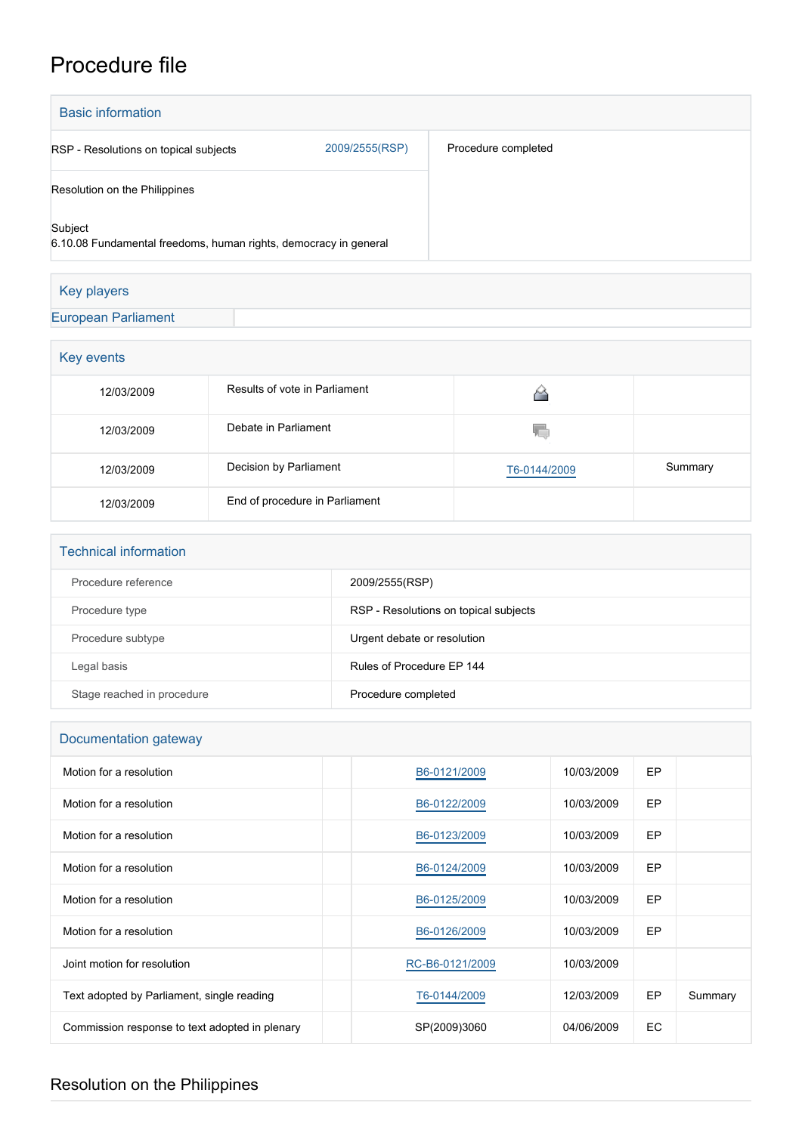## Procedure file

| <b>Basic information</b>                                                    |                |                     |  |  |
|-----------------------------------------------------------------------------|----------------|---------------------|--|--|
| RSP - Resolutions on topical subjects                                       | 2009/2555(RSP) | Procedure completed |  |  |
| Resolution on the Philippines                                               |                |                     |  |  |
| Subject<br>6.10.08 Fundamental freedoms, human rights, democracy in general |                |                     |  |  |
| Key players                                                                 |                |                     |  |  |

## [European Parliament](http://www.europarl.europa.eu/)

| Key events |                                |              |         |  |  |
|------------|--------------------------------|--------------|---------|--|--|
| 12/03/2009 | Results of vote in Parliament  |              |         |  |  |
| 12/03/2009 | Debate in Parliament           | YΟ           |         |  |  |
| 12/03/2009 | Decision by Parliament         | T6-0144/2009 | Summary |  |  |
| 12/03/2009 | End of procedure in Parliament |              |         |  |  |

| <b>Technical information</b> |                                       |
|------------------------------|---------------------------------------|
| Procedure reference          | 2009/2555(RSP)                        |
| Procedure type               | RSP - Resolutions on topical subjects |
| Procedure subtype            | Urgent debate or resolution           |
| Legal basis                  | Rules of Procedure EP 144             |
| Stage reached in procedure   | Procedure completed                   |

## Documentation gateway

| Motion for a resolution                        | B6-0121/2009    | 10/03/2009 | EP        |         |
|------------------------------------------------|-----------------|------------|-----------|---------|
| Motion for a resolution                        | B6-0122/2009    | 10/03/2009 | <b>EP</b> |         |
| Motion for a resolution                        | B6-0123/2009    | 10/03/2009 | <b>EP</b> |         |
| Motion for a resolution                        | B6-0124/2009    | 10/03/2009 | EP        |         |
| Motion for a resolution                        | B6-0125/2009    | 10/03/2009 | EP        |         |
| Motion for a resolution                        | B6-0126/2009    | 10/03/2009 | <b>EP</b> |         |
| Joint motion for resolution                    | RC-B6-0121/2009 | 10/03/2009 |           |         |
| Text adopted by Parliament, single reading     | T6-0144/2009    | 12/03/2009 | EP        | Summary |
| Commission response to text adopted in plenary | SP(2009)3060    | 04/06/2009 | EC        |         |

## Resolution on the Philippines